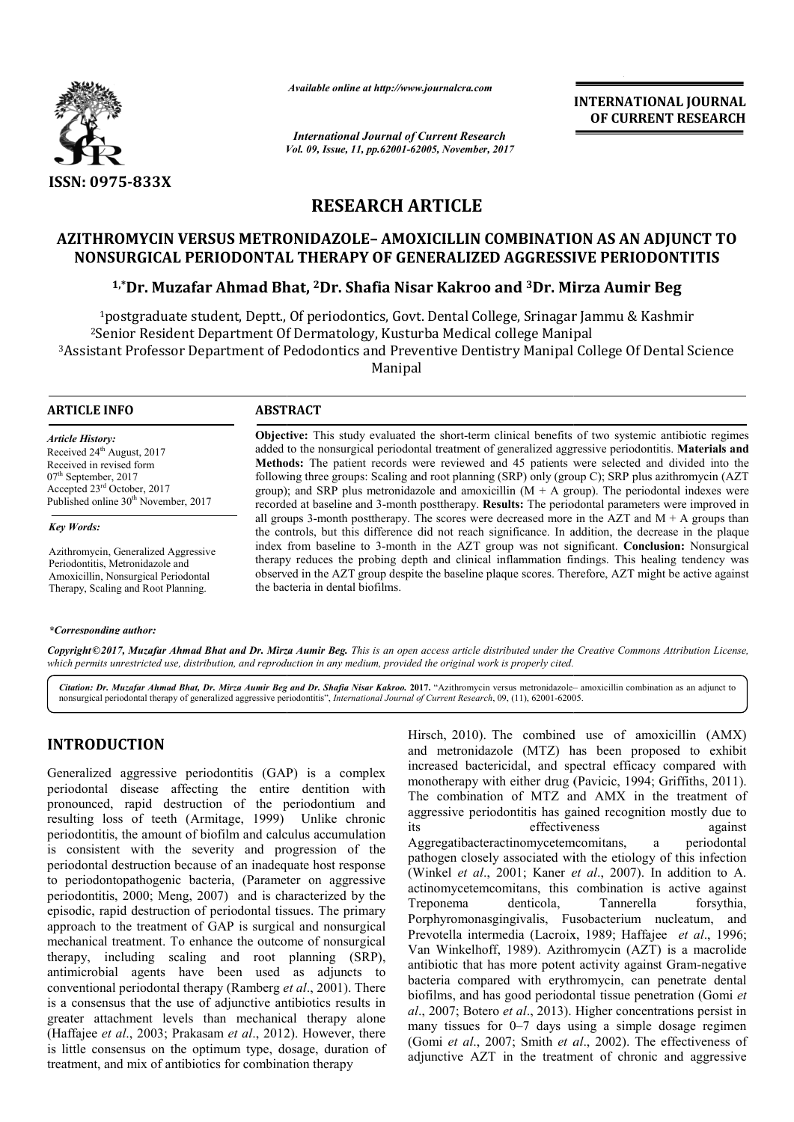

*Available online at http://www.journalcra.com*

*Vol. 09, Issue, 11, pp.62001-62005, November, 2017 International Journal of Current Research*

**INTERNATIONAL JOURNAL OF CURRENT RESEARCH**

# **RESEARCH ARTICLE**

# **AZITHROMYCIN VERSUS METRONIDAZOLE METRONIDAZOLE– AMOXICILLIN COMBINATION AS AN ADJUNCT TO NONSURGICAL PERIODONTAL THERAPY OF GENERALIZED AGGRESSIVE PERIODONTITIS**

## <sup>1,</sup>\*Dr. Muzafar Ahmad Bhat, <sup>2</sup>Dr. Shafia Nisar Kakroo and <sup>3</sup>Dr. Mirza Aumir Beg

<sup>1</sup>postgraduate student, Deptt., Of periodontics, Govt. Dental College, Srinagar Jammu & Kashmir<br><sup>2</sup>Senior Resident Department Of Dermatology, Kusturba Medical college Manipal <sup>3</sup>Assistant Professor Department of Pedodontics and Preventive Dentistry Manipal College Of Dental Science <sup>2</sup>Senior Resident Department Of Dermatology, Kusturba Medical college Manipal Manipal

## **ARTICLE INFO ABSTRACT**

*Article History:* Received 24<sup>th</sup> August, 2017 Received in revised form 07<sup>th</sup> September, 2017 Accepted 23rd October, 2017 Published online 30<sup>th</sup> November, 2017

#### *Key Words:*

Azithromycin, Generalized Aggressive Periodontitis, Metronidazole and Amoxicillin, Nonsurgical Periodontal Therapy, Scaling and Root Planning.

### *\*Corresponding author:*

**Objective:**  This study evaluated the short-term clinical benefits of two systemic antibiotic regimes Objective: This study evaluated the short-term clinical benefits of two systemic antibiotic regimes added to the nonsurgical periodontal treatment of generalized aggressive periodontitis. Materials and **Methods:**  The patient records were reviewed and 45 patients were selected and divided into the following three groups: Scaling and root planning (SRP) only (group C); SRP plus azithromycin (AZT group); and SRP plus metronidazole and amoxicillin  $(M + A)$  group). The periodontal indexes were recorded at baseline and 3 3‑month posttherapy. **Results:** The periodontal parameters were improved in all groups 3-month posttherapy. The scores were decreased more in the  $AZT$  and  $M + A$  groups than the controls, b but this difference did not reach significance. In addition, the decrease in the plaque index from baseline to 3 3‑month in the AZT group was not significant. therapy reduces the probing depth and clinical inflammation findings. This healing tendency was observed in the AZT group despite the baseline plaque scores. Therefore, AZT might be active against observed the bacteria in dental biofilms. Methods: The patient records were reviewed and 45 patients were selected and divided into the following three groups: Scaling and root planning (SRP) only (group C); SRP plus azithromycin (AZT group); and SRP plus metronid

Copyright©2017, Muzafar Ahmad Bhat and Dr. Mirza Aumir Beg. This is an open access article distributed under the Creative Commons Attribution License, which permits unrestricted use, distribution, and reproduction in any medium, provided the original work is properly cited.

Citation: Dr. Muzafar Ahmad Bhat, Dr. Mirza Aumir Beg and Dr. Shafia Nisar Kakroo. 2017. "Azithromycin versus metronidazole– amoxicillin combination as an adjunct to nonsurgical periodontal therapy of generalized aggressive periodontitis", *International Journal of Current Research*, 09, (11), 62001-62005.

# **INTRODUCTION**

Generalized aggressive periodontitis (GAP) is a complex periodontal disease affecting the entire dentition with pronounced, rapid destruction of the periodontium and resulting loss of teeth (Armitage, 1999) Unlike chronic periodontitis, the amount of biofilm and calculus accumulation is consistent with the severity and progression of the periodontal destruction because of an inadequate host response to periodontopathogenic bacteria, (Parameter on aggressive periodontitis, 2000; Meng, 2007) and is characterized by the episodic, rapid destruction of periodontal tissues. The primary approach to the treatment of GAP is surgical and nonsurgical mechanical treatment. To enhance the outcome of nonsurgical therapy, including scaling and root planning (SRP), antimicrobial agents have been used as adjuncts to conventional periodontal therapy (Ramberg *et al* ., 2001). There is a consensus that the use of adjunctive antibiotics results in greater attachment levels than mechanical therapy alone (Haffajee et al., 2003; Prakasam et al., 2012). However, there is little consensus on the optimum type, dosage, duration of treatment, and mix of antibiotics for combination therapy

Hirsch, 2010). The combined use of amoxicillin (AMX)<br>and metronoidazole (MTZ) has been proposed to exhibit<br>mag the entire dentition with monotherapy with either drug (Pavicic, 1994; Griffiths, 2011).<br>ion of the periodonti and metronidazole (MTZ) has been proposed to exhibit increased bactericidal, and spectral efficacy compared with monotherapy with either drug ( (Pavicic, 1994; Griffiths, 2011). The combination of MTZ and AMX in the treatment of aggressive periodontitis has gained recognition mostly due to its effectiveness Aggregatibacteractinomycetemcomitans Aggregatibacteractinomycetemcomitans, a periodontal pathogen closely associated with the etiology of this infection (Winkel *et al.*, 2001; Kaner *et al.*, 2007). In addition to A. actinomycetemcomitans, this combination is active against Treponema denticola, Tannerella forsythia, Treponema denticola, Porphyromonasgingivalis, Fusobacterium nucleatum, and Prevotella intermedia (Lacroix Lacroix, 1989; Haffajee *et al*., 1996; Van Winkelhoff, 1989). Azithromycin (AZT) is a macrolide Van Winkelhoff, 1989). Azithromycin (AZT) is a macrolide antibiotic that has more potent activity against Gram-negative bacteria compared with erythromycin, can penetrate dental biofilms, and has good periodontal tissue penetration (Gomi et *al*., 2007; Botero *et al*., 2013). Higher concentrations persist in many tissues for  $0-7$  days using a simple dosage regimen (Gomi et al., 2007; Smith et al., 2002). The effectiveness of adjunctive AZT in the treatment of chronic and aggressive mbined use of amoxicillin (AMX)<br>TZ) has been proposed to exhibit<br>and spectral efficacy compared with against INTERNATIONAL JOURNAL<br> **OF CURRENT RESEARCH**<br> **OF CURRENT RESEARCH**<br> **OF CURRENT RESEARCH**<br> **OF CURRENT RESEARCH**<br> **SETTLE 2 AUMIT Beg**<br> **SETTLE 2 AUMIT Beg**<br> **SETTLE 2 SETTLE AUMIT BEG**<br> **SETTLE 2 SETTLE AUMIT BEG**<br> **SETT**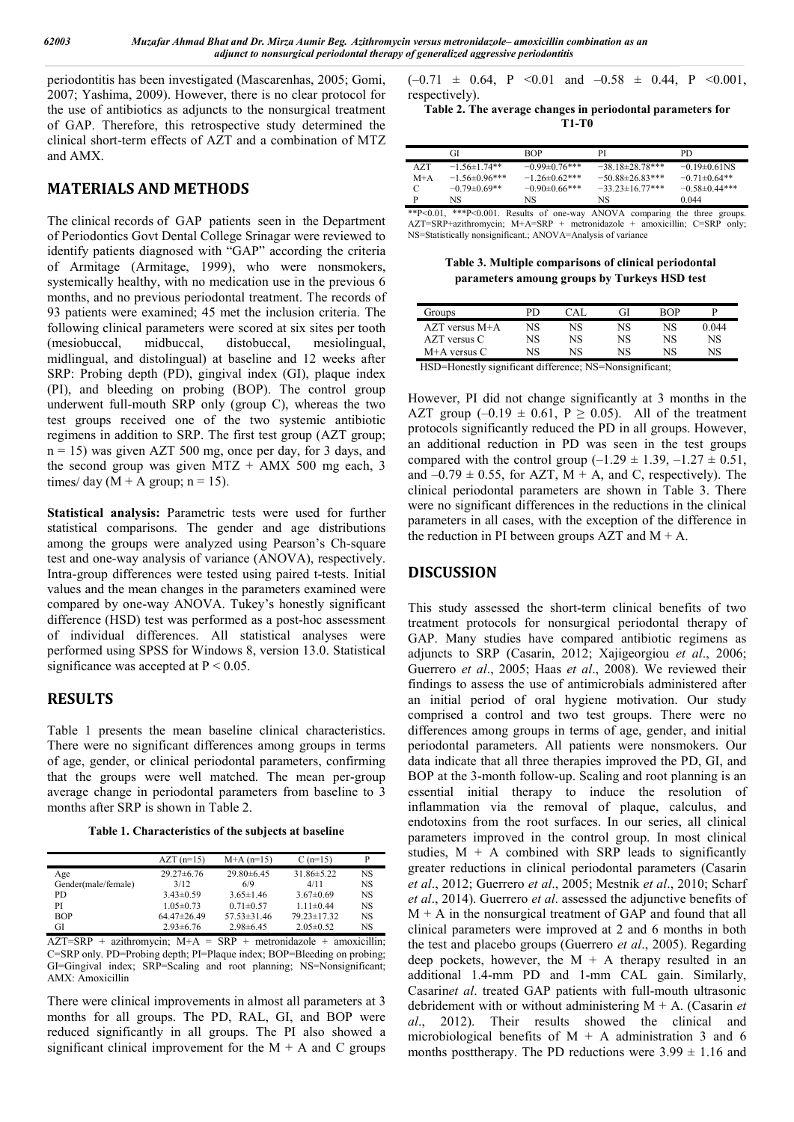periodontitis has been investigated (Mascarenhas, 2005; Gomi, 2007; Yashima, 2009). However, there is no clear protocol for the use of antibiotics as adjuncts to the nonsurgical treatment of GAP. Therefore, this retrospective study determined the clinical short-term effects of AZT and a combination of MTZ and AMX.

# **MATERIALS AND METHODS**

The clinical records of GAP patients seen in the Department of Periodontics Govt Dental College Srinagar were reviewed to identify patients diagnosed with "GAP" according the criteria of Armitage (Armitage, 1999), who were nonsmokers, systemically healthy, with no medication use in the previous 6 months, and no previous periodontal treatment. The records of 93 patients were examined; 45 met the inclusion criteria. The following clinical parameters were scored at six sites per tooth (mesiobuccal, midbuccal, distobuccal, mesiolingual, midlingual, and distolingual) at baseline and 12 weeks after SRP: Probing depth (PD), gingival index (GI), plaque index (PI), and bleeding on probing (BOP). The control group underwent full-mouth SRP only (group C), whereas the two test groups received one of the two systemic antibiotic regimens in addition to SRP. The first test group (AZT group;  $n = 15$ ) was given AZT 500 mg, once per day, for 3 days, and the second group was given MTZ  $+$  AMX 500 mg each, 3 times/ day  $(M + A$  group;  $n = 15$ ).

**Statistical analysis:** Parametric tests were used for further statistical comparisons. The gender and age distributions among the groups were analyzed using Pearson's Ch-square test and one-way analysis of variance (ANOVA), respectively. Intra-group differences were tested using paired t-tests. Initial values and the mean changes in the parameters examined were compared by one-way ANOVA. Tukey's honestly significant difference (HSD) test was performed as a post-hoc assessment of individual differences. All statistical analyses were performed using SPSS for Windows 8, version 13.0. Statistical significance was accepted at  $P < 0.05$ .

## **RESULTS**

Table 1 presents the mean baseline clinical characteristics. There were no significant differences among groups in terms of age, gender, or clinical periodontal parameters, confirming that the groups were well matched. The mean per-group average change in periodontal parameters from baseline to 3 months after SRP is shown in Table 2.

**Table 1. Characteristics of the subjects at baseline**

|                     | $AZT(n=15)$      | $M+A(n=15)$       | $C(n=15)$         |           |
|---------------------|------------------|-------------------|-------------------|-----------|
| Age                 | $29.27 \pm 6.76$ | $29.80\pm 6.45$   | $31.86 \pm 5.22$  | <b>NS</b> |
| Gender(male/female) | 3/12             | 6/9               | 4/11              | <b>NS</b> |
| PD.                 | $3.43 \pm 0.59$  | $3.65 \pm 1.46$   | $3.67\pm0.69$     | <b>NS</b> |
| PI                  | $1.05 \pm 0.73$  | $0.71 \pm 0.57$   | $1.11 \pm 0.44$   | <b>NS</b> |
| <b>BOP</b>          | $64.47\pm26.49$  | $57.53 \pm 31.46$ | $79.23 \pm 17.32$ | <b>NS</b> |
| GI                  | $2.93 \pm 6.76$  | $2.98 \pm 6.45$   | $2.05 \pm 0.52$   | NS        |

 $\overline{AZT} = \overline{SRP} + \overline{azithromycin}$ ;  $M+A = \overline{SRP} + \overline{metronidazole} + \overline{amoxicillin}$ ; C=SRP only. PD=Probing depth; PI=Plaque index; BOP=Bleeding on probing; GI=Gingival index; SRP=Scaling and root planning; NS=Nonsignificant; AMX: Amoxicillin

There were clinical improvements in almost all parameters at 3 months for all groups. The PD, RAL, GI, and BOP were reduced significantly in all groups. The PI also showed a significant clinical improvement for the  $M + A$  and C groups  $(-0.71 \pm 0.64, P \le 0.01 \text{ and } -0.58 \pm 0.44, P \le 0.001,$ respectively).

**Table 2. The average changes in periodontal parameters for T1-T0**

|       | GI                  | <b>BOP</b>           |                        | PD                |
|-------|---------------------|----------------------|------------------------|-------------------|
| AZT   | $-1.56 \pm 1.74$ ** | $-0.99\pm0.76***$    | $-38.18 \pm 28.78$ *** | $-0.19\pm0.61$ NS |
| $M+A$ | $-1.56\pm0.96***$   | $-1.26 \pm 0.62$ *** | $-50.88 \pm 26.83$ *** | $-0.71\pm0.64**$  |
| C     | $-0.79\pm0.69**$    | $-0.90\pm0.66***$    | $-33.23 \pm 16.77$ *** | $-0.58\pm0.44***$ |
| D     | NS                  | NS.                  | NS                     | 0.044             |

\*\*P˂0.01, \*\*\*P˂0.001. Results of one‑way ANOVA comparing the three groups.  $AZT=SRP+azithromycin$ ;  $M+A=SRP + metronidazole + amoxicillin$ ;  $C=SRP$  only; NS=Statistically nonsignificant.; ANOVA=Analysis of variance

**Table 3. Multiple comparisons of clinical periodontal parameters amoung groups by Turkeys HSD test**

| Groups             | PD | ∩∆T | GI | ROP |       |
|--------------------|----|-----|----|-----|-------|
| $AZT$ versus $M+A$ | NS | NS  | NS | NS  | 0.044 |
| $AZT$ versus $C$   | NS | NS  | NS | NS  | NS    |
| $M+A$ versus $C$   | NS | NS  | NS | NS  | NS    |
|                    |    |     |    |     |       |

HSD=Honestly significant difference; NS=Nonsignificant;

However, PI did not change significantly at 3 months in the AZT group  $(-0.19 \pm 0.61, P \ge 0.05)$ . All of the treatment protocols significantly reduced the PD in all groups. However, an additional reduction in PD was seen in the test groups compared with the control group  $(-1.29 \pm 1.39, -1.27 \pm 0.51,$ and  $-0.79 \pm 0.55$ , for AZT, M + A, and C, respectively). The clinical periodontal parameters are shown in Table 3. There were no significant differences in the reductions in the clinical parameters in all cases, with the exception of the difference in the reduction in PI between groups  $AZT$  and  $M + A$ .

## **DISCUSSION**

This study assessed the short-term clinical benefits of two treatment protocols for nonsurgical periodontal therapy of GAP. Many studies have compared antibiotic regimens as adjuncts to SRP (Casarin, 2012; Xajigeorgiou *et al*., 2006; Guerrero *et al*., 2005; Haas *et al*., 2008). We reviewed their findings to assess the use of antimicrobials administered after an initial period of oral hygiene motivation. Our study comprised a control and two test groups. There were no differences among groups in terms of age, gender, and initial periodontal parameters. All patients were nonsmokers. Our data indicate that all three therapies improved the PD, GI, and BOP at the 3-month follow-up. Scaling and root planning is an essential initial therapy to induce the resolution of inflammation via the removal of plaque, calculus, and endotoxins from the root surfaces. In our series, all clinical parameters improved in the control group. In most clinical studies,  $M + A$  combined with SRP leads to significantly greater reductions in clinical periodontal parameters (Casarin *et al*., 2012; Guerrero *et al*., 2005; Mestnik *et al*., 2010; Scharf *et al*., 2014). Guerrero *et al*. assessed the adjunctive benefits of  $M + A$  in the nonsurgical treatment of GAP and found that all clinical parameters were improved at 2 and 6 months in both the test and placebo groups (Guerrero *et al*., 2005). Regarding deep pockets, however, the  $M + A$  therapy resulted in an additional 1.4-mm PD and 1-mm CAL gain. Similarly, Casarin*et al*. treated GAP patients with full-mouth ultrasonic debridement with or without administering M + A. (Casarin *et al*., 2012). Their results showed the clinical and microbiological benefits of  $M + A$  administration 3 and 6 months posttherapy. The PD reductions were  $3.99 \pm 1.16$  and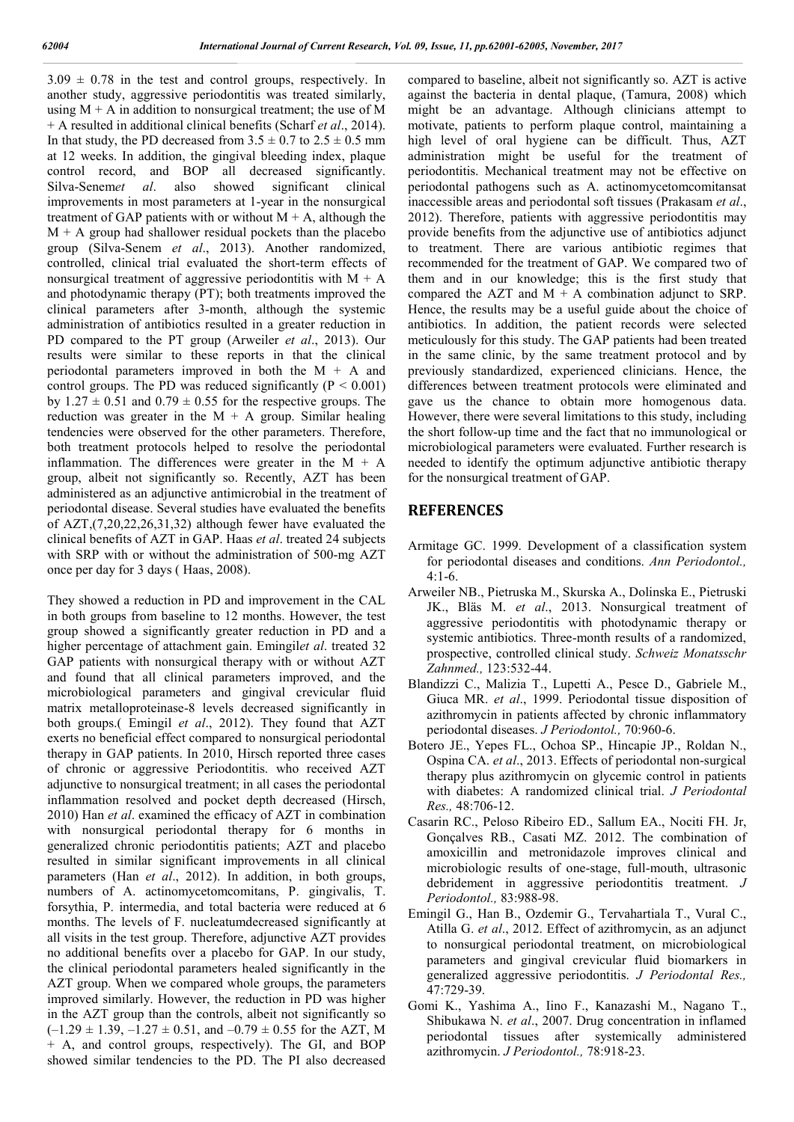$3.09 \pm 0.78$  in the test and control groups, respectively. In another study, aggressive periodontitis was treated similarly, using  $M + A$  in addition to nonsurgical treatment; the use of M + A resulted in additional clinical benefits (Scharf *et al*., 2014). In that study, the PD decreased from  $3.5 \pm 0.7$  to  $2.5 \pm 0.5$  mm at 12 weeks. In addition, the gingival bleeding index, plaque control record, and BOP all decreased significantly. Silva-Senem*et al*. also showed significant clinical improvements in most parameters at 1-year in the nonsurgical treatment of GAP patients with or without  $M + A$ , although the  $M + A$  group had shallower residual pockets than the placebo group (Silva-Senem *et al*., 2013). Another randomized, controlled, clinical trial evaluated the short-term effects of nonsurgical treatment of aggressive periodontitis with  $M + A$ and photodynamic therapy (PT); both treatments improved the clinical parameters after 3-month, although the systemic administration of antibiotics resulted in a greater reduction in PD compared to the PT group (Arweiler *et al*., 2013). Our results were similar to these reports in that the clinical periodontal parameters improved in both the  $M + A$  and control groups. The PD was reduced significantly  $(P < 0.001)$ by  $1.27 \pm 0.51$  and  $0.79 \pm 0.55$  for the respective groups. The reduction was greater in the  $M + A$  group. Similar healing tendencies were observed for the other parameters. Therefore, both treatment protocols helped to resolve the periodontal inflammation. The differences were greater in the  $M + A$ group, albeit not significantly so. Recently, AZT has been administered as an adjunctive antimicrobial in the treatment of periodontal disease. Several studies have evaluated the benefits of AZT,(7,20,22,26,31,32) although fewer have evaluated the clinical benefits of AZT in GAP. Haas *et al*. treated 24 subjects with SRP with or without the administration of 500-mg AZT once per day for 3 days ( Haas, 2008).

They showed a reduction in PD and improvement in the CAL in both groups from baseline to 12 months. However, the test group showed a significantly greater reduction in PD and a higher percentage of attachment gain. Emingil*et al*. treated 32 GAP patients with nonsurgical therapy with or without AZT and found that all clinical parameters improved, and the microbiological parameters and gingival crevicular fluid matrix metalloproteinase-8 levels decreased significantly in both groups.( Emingil *et al*., 2012). They found that AZT exerts no beneficial effect compared to nonsurgical periodontal therapy in GAP patients. In 2010, Hirsch reported three cases of chronic or aggressive Periodontitis. who received AZT adjunctive to nonsurgical treatment; in all cases the periodontal inflammation resolved and pocket depth decreased (Hirsch, 2010) Han *et al*. examined the efficacy of AZT in combination with nonsurgical periodontal therapy for 6 months in generalized chronic periodontitis patients; AZT and placebo resulted in similar significant improvements in all clinical parameters (Han *et al*., 2012). In addition, in both groups, numbers of A. actinomycetomcomitans, P. gingivalis, T. forsythia, P. intermedia, and total bacteria were reduced at 6 months. The levels of F. nucleatumdecreased significantly at all visits in the test group. Therefore, adjunctive AZT provides no additional benefits over a placebo for GAP. In our study, the clinical periodontal parameters healed significantly in the AZT group. When we compared whole groups, the parameters improved similarly. However, the reduction in PD was higher in the AZT group than the controls, albeit not significantly so  $(-1.29 \pm 1.39, -1.27 \pm 0.51,$  and  $-0.79 \pm 0.55$  for the AZT, M + A, and control groups, respectively). The GI, and BOP showed similar tendencies to the PD. The PI also decreased

compared to baseline, albeit not significantly so. AZT is active against the bacteria in dental plaque, (Tamura, 2008) which might be an advantage. Although clinicians attempt to motivate, patients to perform plaque control, maintaining a high level of oral hygiene can be difficult. Thus, AZT administration might be useful for the treatment of periodontitis. Mechanical treatment may not be effective on periodontal pathogens such as A. actinomycetomcomitansat inaccessible areas and periodontal soft tissues (Prakasam *et al*., 2012). Therefore, patients with aggressive periodontitis may provide benefits from the adjunctive use of antibiotics adjunct to treatment. There are various antibiotic regimes that recommended for the treatment of GAP. We compared two of them and in our knowledge; this is the first study that compared the AZT and  $M + A$  combination adjunct to SRP. Hence, the results may be a useful guide about the choice of antibiotics. In addition, the patient records were selected meticulously for this study. The GAP patients had been treated in the same clinic, by the same treatment protocol and by previously standardized, experienced clinicians. Hence, the differences between treatment protocols were eliminated and gave us the chance to obtain more homogenous data. However, there were several limitations to this study, including the short follow-up time and the fact that no immunological or microbiological parameters were evaluated. Further research is needed to identify the optimum adjunctive antibiotic therapy for the nonsurgical treatment of GAP.

## **REFERENCES**

- Armitage GC. 1999. Development of a classification system for periodontal diseases and conditions. *Ann Periodontol.,* 4:1-6.
- Arweiler NB., Pietruska M., Skurska A., Dolinska E., Pietruski JK., Bläs M. *et al*., 2013. Nonsurgical treatment of aggressive periodontitis with photodynamic therapy or systemic antibiotics. Three-month results of a randomized, prospective, controlled clinical study. *Schweiz Monatsschr Zahnmed.,* 123:532-44.
- Blandizzi C., Malizia T., Lupetti A., Pesce D., Gabriele M., Giuca MR. *et al*., 1999. Periodontal tissue disposition of azithromycin in patients affected by chronic inflammatory periodontal diseases. *J Periodontol.,* 70:960-6.
- Botero JE., Yepes FL., Ochoa SP., Hincapie JP., Roldan N., Ospina CA. *et al*., 2013. Effects of periodontal non-surgical therapy plus azithromycin on glycemic control in patients with diabetes: A randomized clinical trial. *J Periodontal Res.,* 48:706-12.
- Casarin RC., Peloso Ribeiro ED., Sallum EA., Nociti FH. Jr, Gonçalves RB., Casati MZ. 2012. The combination of amoxicillin and metronidazole improves clinical and microbiologic results of one-stage, full-mouth, ultrasonic debridement in aggressive periodontitis treatment. *J Periodontol.,* 83:988-98.
- Emingil G., Han B., Ozdemir G., Tervahartiala T., Vural C., Atilla G. *et al*., 2012. Effect of azithromycin, as an adjunct to nonsurgical periodontal treatment, on microbiological parameters and gingival crevicular fluid biomarkers in generalized aggressive periodontitis. *J Periodontal Res.,* 47:729-39.
- Gomi K., Yashima A., Iino F., Kanazashi M., Nagano T., Shibukawa N. *et al*., 2007. Drug concentration in inflamed periodontal tissues after systemically administered azithromycin. *J Periodontol.,* 78:918-23.